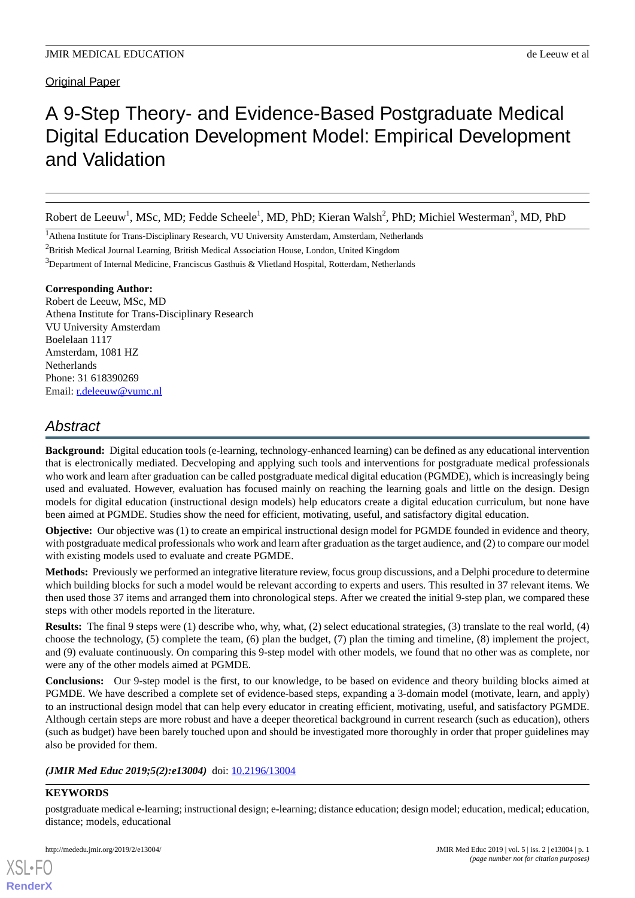## Original Paper

# A 9-Step Theory- and Evidence-Based Postgraduate Medical Digital Education Development Model: Empirical Development and Validation

Robert de Leeuw<sup>1</sup>, MSc, MD; Fedde Scheele<sup>1</sup>, MD, PhD; Kieran Walsh<sup>2</sup>, PhD; Michiel Westerman<sup>3</sup>, MD, PhD

<sup>1</sup>Athena Institute for Trans-Disciplinary Research, VU University Amsterdam, Amsterdam, Netherlands

<sup>2</sup>British Medical Journal Learning, British Medical Association House, London, United Kingdom

<sup>3</sup>Department of Internal Medicine, Franciscus Gasthuis & Vlietland Hospital, Rotterdam, Netherlands

## **Corresponding Author:**

Robert de Leeuw, MSc, MD Athena Institute for Trans-Disciplinary Research VU University Amsterdam Boelelaan 1117 Amsterdam, 1081 HZ **Netherlands** Phone: 31 618390269 Email: [r.deleeuw@vumc.nl](mailto:r.deleeuw@vumc.nl)

# *Abstract*

**Background:** Digital education tools (e-learning, technology-enhanced learning) can be defined as any educational intervention that is electronically mediated. Decveloping and applying such tools and interventions for postgraduate medical professionals who work and learn after graduation can be called postgraduate medical digital education (PGMDE), which is increasingly being used and evaluated. However, evaluation has focused mainly on reaching the learning goals and little on the design. Design models for digital education (instructional design models) help educators create a digital education curriculum, but none have been aimed at PGMDE. Studies show the need for efficient, motivating, useful, and satisfactory digital education.

**Objective:** Our objective was (1) to create an empirical instructional design model for PGMDE founded in evidence and theory, with postgraduate medical professionals who work and learn after graduation as the target audience, and (2) to compare our model with existing models used to evaluate and create PGMDE.

**Methods:** Previously we performed an integrative literature review, focus group discussions, and a Delphi procedure to determine which building blocks for such a model would be relevant according to experts and users. This resulted in 37 relevant items. We then used those 37 items and arranged them into chronological steps. After we created the initial 9-step plan, we compared these steps with other models reported in the literature.

**Results:** The final 9 steps were (1) describe who, why, what, (2) select educational strategies, (3) translate to the real world, (4) choose the technology, (5) complete the team, (6) plan the budget, (7) plan the timing and timeline, (8) implement the project, and (9) evaluate continuously. On comparing this 9-step model with other models, we found that no other was as complete, nor were any of the other models aimed at PGMDE.

**Conclusions:** Our 9-step model is the first, to our knowledge, to be based on evidence and theory building blocks aimed at PGMDE. We have described a complete set of evidence-based steps, expanding a 3-domain model (motivate, learn, and apply) to an instructional design model that can help every educator in creating efficient, motivating, useful, and satisfactory PGMDE. Although certain steps are more robust and have a deeper theoretical background in current research (such as education), others (such as budget) have been barely touched upon and should be investigated more thoroughly in order that proper guidelines may also be provided for them.

#### (JMIR Med Educ 2019;5(2):e13004) doi: [10.2196/13004](http://dx.doi.org/10.2196/13004)

## **KEYWORDS**

[XSL](http://www.w3.org/Style/XSL)•FO **[RenderX](http://www.renderx.com/)**

postgraduate medical e-learning; instructional design; e-learning; distance education; design model; education, medical; education, distance; models, educational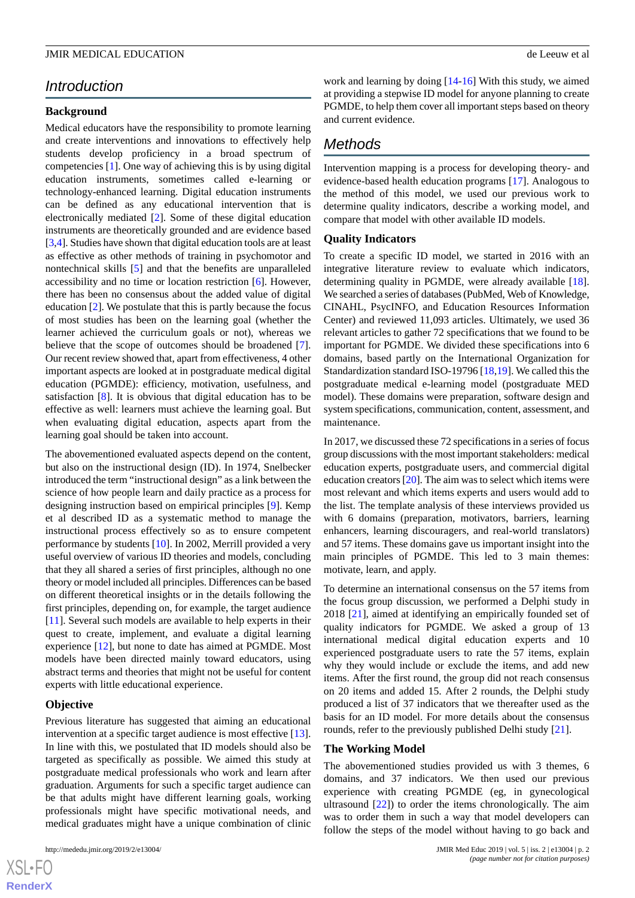# *Introduction*

#### **Background**

Medical educators have the responsibility to promote learning and create interventions and innovations to effectively help students develop proficiency in a broad spectrum of competencies [\[1\]](#page-8-0). One way of achieving this is by using digital education instruments, sometimes called e-learning or technology-enhanced learning. Digital education instruments can be defined as any educational intervention that is electronically mediated [[2\]](#page-8-1). Some of these digital education instruments are theoretically grounded and are evidence based [[3,](#page-8-2)[4](#page-8-3)]. Studies have shown that digital education tools are at least as effective as other methods of training in psychomotor and nontechnical skills [[5\]](#page-8-4) and that the benefits are unparalleled accessibility and no time or location restriction [[6\]](#page-8-5). However, there has been no consensus about the added value of digital education [[2\]](#page-8-1). We postulate that this is partly because the focus of most studies has been on the learning goal (whether the learner achieved the curriculum goals or not), whereas we believe that the scope of outcomes should be broadened [[7\]](#page-8-6). Our recent review showed that, apart from effectiveness, 4 other important aspects are looked at in postgraduate medical digital education (PGMDE): efficiency, motivation, usefulness, and satisfaction [[8\]](#page-8-7). It is obvious that digital education has to be effective as well: learners must achieve the learning goal. But when evaluating digital education, aspects apart from the learning goal should be taken into account.

The abovementioned evaluated aspects depend on the content, but also on the instructional design (ID). In 1974, Snelbecker introduced the term "instructional design" as a link between the science of how people learn and daily practice as a process for designing instruction based on empirical principles [[9\]](#page-8-8). Kemp et al described ID as a systematic method to manage the instructional process effectively so as to ensure competent performance by students [[10\]](#page-8-9). In 2002, Merrill provided a very useful overview of various ID theories and models, concluding that they all shared a series of first principles, although no one theory or model included all principles. Differences can be based on different theoretical insights or in the details following the first principles, depending on, for example, the target audience [[11\]](#page-8-10). Several such models are available to help experts in their quest to create, implement, and evaluate a digital learning experience [[12\]](#page-8-11), but none to date has aimed at PGMDE. Most models have been directed mainly toward educators, using abstract terms and theories that might not be useful for content experts with little educational experience.

#### **Objective**

 $XS$  $\cdot$ FC **[RenderX](http://www.renderx.com/)**

Previous literature has suggested that aiming an educational intervention at a specific target audience is most effective [[13\]](#page-8-12). In line with this, we postulated that ID models should also be targeted as specifically as possible. We aimed this study at postgraduate medical professionals who work and learn after graduation. Arguments for such a specific target audience can be that adults might have different learning goals, working professionals might have specific motivational needs, and medical graduates might have a unique combination of clinic

work and learning by doing [[14](#page-8-13)[-16](#page-8-14)] With this study, we aimed at providing a stepwise ID model for anyone planning to create PGMDE, to help them cover all important steps based on theory and current evidence.

# *Methods*

Intervention mapping is a process for developing theory- and evidence-based health education programs [\[17](#page-8-15)]. Analogous to the method of this model, we used our previous work to determine quality indicators, describe a working model, and compare that model with other available ID models.

#### **Quality Indicators**

To create a specific ID model, we started in 2016 with an integrative literature review to evaluate which indicators, determining quality in PGMDE, were already available [[18\]](#page-9-0). We searched a series of databases (PubMed, Web of Knowledge, CINAHL, PsycINFO, and Education Resources Information Center) and reviewed 11,093 articles. Ultimately, we used 36 relevant articles to gather 72 specifications that we found to be important for PGMDE. We divided these specifications into 6 domains, based partly on the International Organization for Standardization standard ISO-19796 [[18,](#page-9-0)[19](#page-9-1)]. We called this the postgraduate medical e-learning model (postgraduate MED model). These domains were preparation, software design and system specifications, communication, content, assessment, and maintenance.

In 2017, we discussed these 72 specifications in a series of focus group discussions with the most important stakeholders: medical education experts, postgraduate users, and commercial digital education creators [[20\]](#page-9-2). The aim was to select which items were most relevant and which items experts and users would add to the list. The template analysis of these interviews provided us with 6 domains (preparation, motivators, barriers, learning enhancers, learning discouragers, and real-world translators) and 57 items. These domains gave us important insight into the main principles of PGMDE. This led to 3 main themes: motivate, learn, and apply.

To determine an international consensus on the 57 items from the focus group discussion, we performed a Delphi study in 2018 [[21\]](#page-9-3), aimed at identifying an empirically founded set of quality indicators for PGMDE. We asked a group of 13 international medical digital education experts and 10 experienced postgraduate users to rate the 57 items, explain why they would include or exclude the items, and add new items. After the first round, the group did not reach consensus on 20 items and added 15. After 2 rounds, the Delphi study produced a list of 37 indicators that we thereafter used as the basis for an ID model. For more details about the consensus rounds, refer to the previously published Delhi study [\[21](#page-9-3)].

#### **The Working Model**

The abovementioned studies provided us with 3 themes, 6 domains, and 37 indicators. We then used our previous experience with creating PGMDE (eg, in gynecological ultrasound [[22\]](#page-9-4)) to order the items chronologically. The aim was to order them in such a way that model developers can follow the steps of the model without having to go back and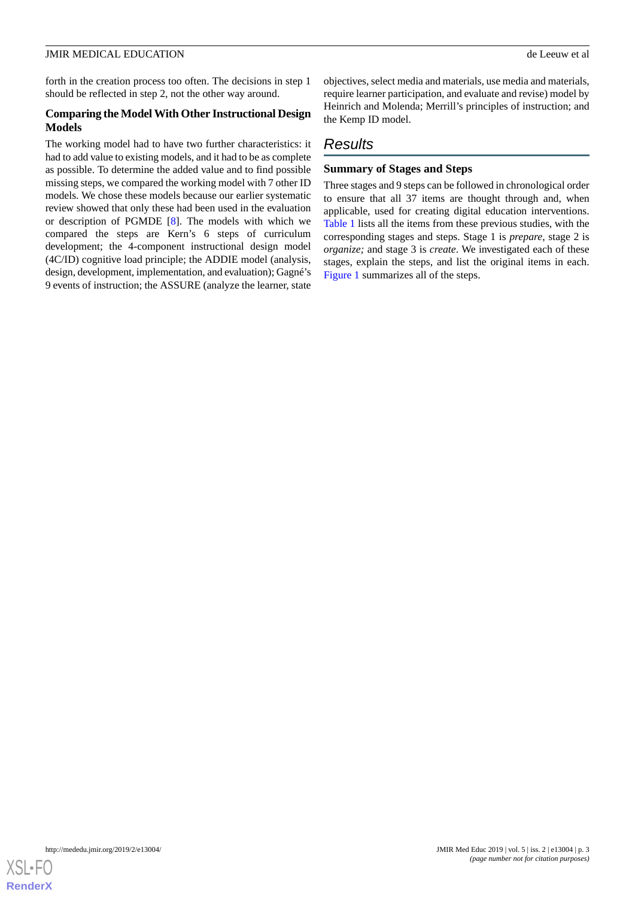forth in the creation process too often. The decisions in step 1 should be reflected in step 2, not the other way around.

## **Comparing the Model With Other Instructional Design Models**

The working model had to have two further characteristics: it had to add value to existing models, and it had to be as complete as possible. To determine the added value and to find possible missing steps, we compared the working model with 7 other ID models. We chose these models because our earlier systematic review showed that only these had been used in the evaluation or description of PGMDE [[8\]](#page-8-7). The models with which we compared the steps are Kern's 6 steps of curriculum development; the 4-component instructional design model (4C/ID) cognitive load principle; the ADDIE model (analysis, design, development, implementation, and evaluation); Gagné's 9 events of instruction; the ASSURE (analyze the learner, state

objectives, select media and materials, use media and materials, require learner participation, and evaluate and revise) model by Heinrich and Molenda; Merrill's principles of instruction; and the Kemp ID model.

# *Results*

## **Summary of Stages and Steps**

Three stages and 9 steps can be followed in chronological order to ensure that all 37 items are thought through and, when applicable, used for creating digital education interventions. [Table 1](#page-3-0) lists all the items from these previous studies, with the corresponding stages and steps. Stage 1 is *prepare*, stage 2 is *organize;* and stage 3 is *create*. We investigated each of these stages, explain the steps, and list the original items in each. [Figure 1](#page-4-0) summarizes all of the steps.

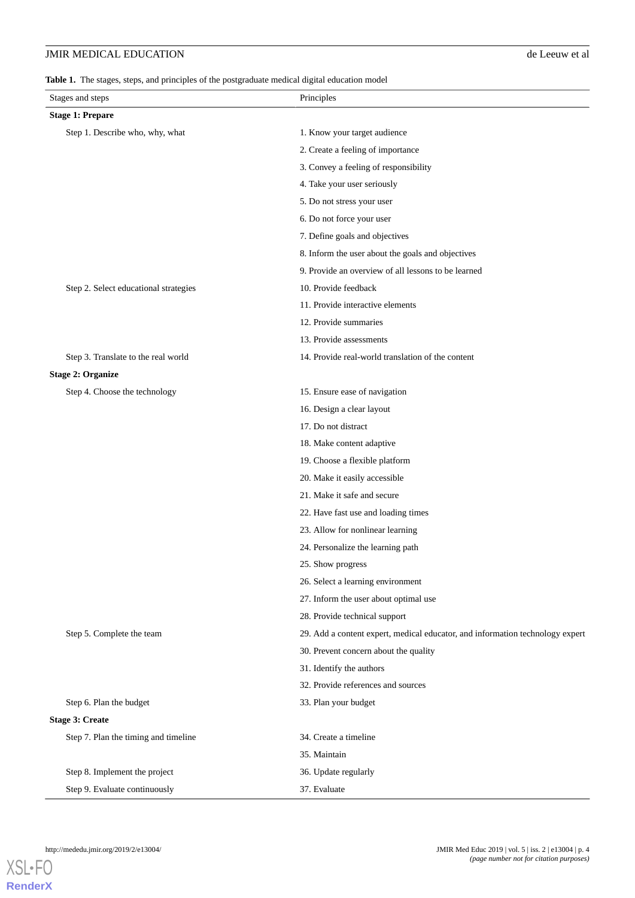<span id="page-3-0"></span>**Table 1.** The stages, steps, and principles of the postgraduate medical digital education model

| Stages and steps                      | Principles                                                                    |  |  |  |  |
|---------------------------------------|-------------------------------------------------------------------------------|--|--|--|--|
| <b>Stage 1: Prepare</b>               |                                                                               |  |  |  |  |
| Step 1. Describe who, why, what       | 1. Know your target audience                                                  |  |  |  |  |
|                                       | 2. Create a feeling of importance                                             |  |  |  |  |
|                                       | 3. Convey a feeling of responsibility                                         |  |  |  |  |
|                                       | 4. Take your user seriously                                                   |  |  |  |  |
|                                       | 5. Do not stress your user                                                    |  |  |  |  |
|                                       | 6. Do not force your user                                                     |  |  |  |  |
|                                       | 7. Define goals and objectives                                                |  |  |  |  |
|                                       | 8. Inform the user about the goals and objectives                             |  |  |  |  |
|                                       | 9. Provide an overview of all lessons to be learned                           |  |  |  |  |
| Step 2. Select educational strategies | 10. Provide feedback                                                          |  |  |  |  |
|                                       | 11. Provide interactive elements                                              |  |  |  |  |
|                                       | 12. Provide summaries                                                         |  |  |  |  |
|                                       | 13. Provide assessments                                                       |  |  |  |  |
| Step 3. Translate to the real world   | 14. Provide real-world translation of the content                             |  |  |  |  |
| <b>Stage 2: Organize</b>              |                                                                               |  |  |  |  |
| Step 4. Choose the technology         | 15. Ensure ease of navigation                                                 |  |  |  |  |
|                                       | 16. Design a clear layout                                                     |  |  |  |  |
|                                       | 17. Do not distract                                                           |  |  |  |  |
|                                       | 18. Make content adaptive                                                     |  |  |  |  |
|                                       | 19. Choose a flexible platform                                                |  |  |  |  |
|                                       | 20. Make it easily accessible                                                 |  |  |  |  |
|                                       | 21. Make it safe and secure                                                   |  |  |  |  |
|                                       | 22. Have fast use and loading times                                           |  |  |  |  |
|                                       | 23. Allow for nonlinear learning                                              |  |  |  |  |
|                                       | 24. Personalize the learning path                                             |  |  |  |  |
|                                       | 25. Show progress                                                             |  |  |  |  |
|                                       | 26. Select a learning environment                                             |  |  |  |  |
|                                       | 27. Inform the user about optimal use                                         |  |  |  |  |
|                                       | 28. Provide technical support                                                 |  |  |  |  |
| Step 5. Complete the team             | 29. Add a content expert, medical educator, and information technology expert |  |  |  |  |
|                                       | 30. Prevent concern about the quality                                         |  |  |  |  |
|                                       | 31. Identify the authors                                                      |  |  |  |  |
|                                       | 32. Provide references and sources                                            |  |  |  |  |
| Step 6. Plan the budget               | 33. Plan your budget                                                          |  |  |  |  |
| <b>Stage 3: Create</b>                |                                                                               |  |  |  |  |
| Step 7. Plan the timing and timeline  | 34. Create a timeline                                                         |  |  |  |  |
|                                       | 35. Maintain                                                                  |  |  |  |  |
| Step 8. Implement the project         | 36. Update regularly                                                          |  |  |  |  |
| Step 9. Evaluate continuously         | 37. Evaluate                                                                  |  |  |  |  |



**[RenderX](http://www.renderx.com/)**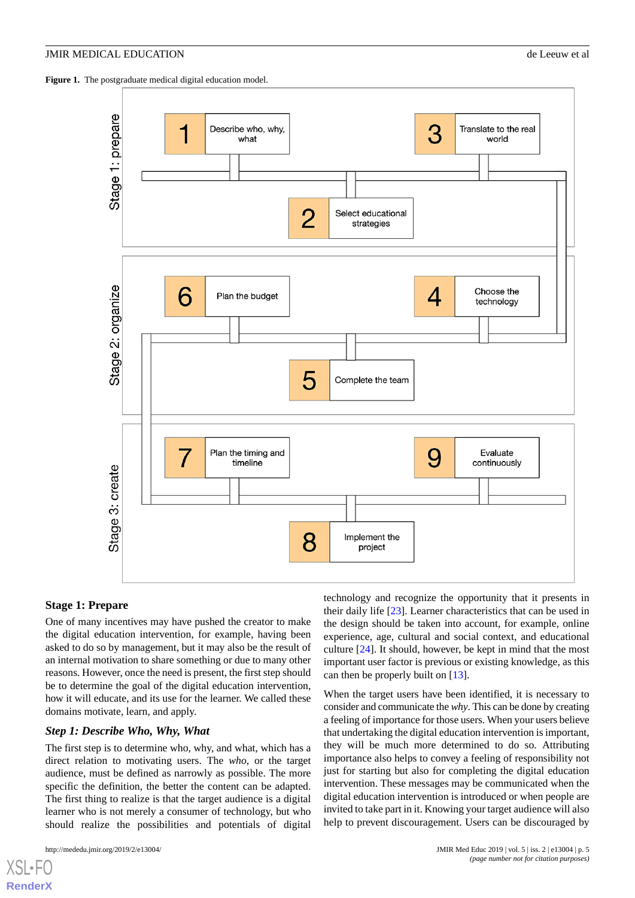<span id="page-4-0"></span>Figure 1. The postgraduate medical digital education model.



## **Stage 1: Prepare**

One of many incentives may have pushed the creator to make the digital education intervention, for example, having been asked to do so by management, but it may also be the result of an internal motivation to share something or due to many other reasons. However, once the need is present, the first step should be to determine the goal of the digital education intervention, how it will educate, and its use for the learner. We called these domains motivate, learn, and apply.

## *Step 1: Describe Who, Why, What*

The first step is to determine who, why, and what, which has a direct relation to motivating users. The *who*, or the target audience, must be defined as narrowly as possible. The more specific the definition, the better the content can be adapted. The first thing to realize is that the target audience is a digital learner who is not merely a consumer of technology, but who should realize the possibilities and potentials of digital

[XSL](http://www.w3.org/Style/XSL)•FO **[RenderX](http://www.renderx.com/)**

technology and recognize the opportunity that it presents in their daily life [\[23](#page-9-5)]. Learner characteristics that can be used in the design should be taken into account, for example, online experience, age, cultural and social context, and educational culture [\[24](#page-9-6)]. It should, however, be kept in mind that the most important user factor is previous or existing knowledge, as this can then be properly built on [\[13](#page-8-12)].

When the target users have been identified, it is necessary to consider and communicate the *why*. This can be done by creating a feeling of importance for those users. When your users believe that undertaking the digital education intervention is important, they will be much more determined to do so. Attributing importance also helps to convey a feeling of responsibility not just for starting but also for completing the digital education intervention. These messages may be communicated when the digital education intervention is introduced or when people are invited to take part in it. Knowing your target audience will also help to prevent discouragement. Users can be discouraged by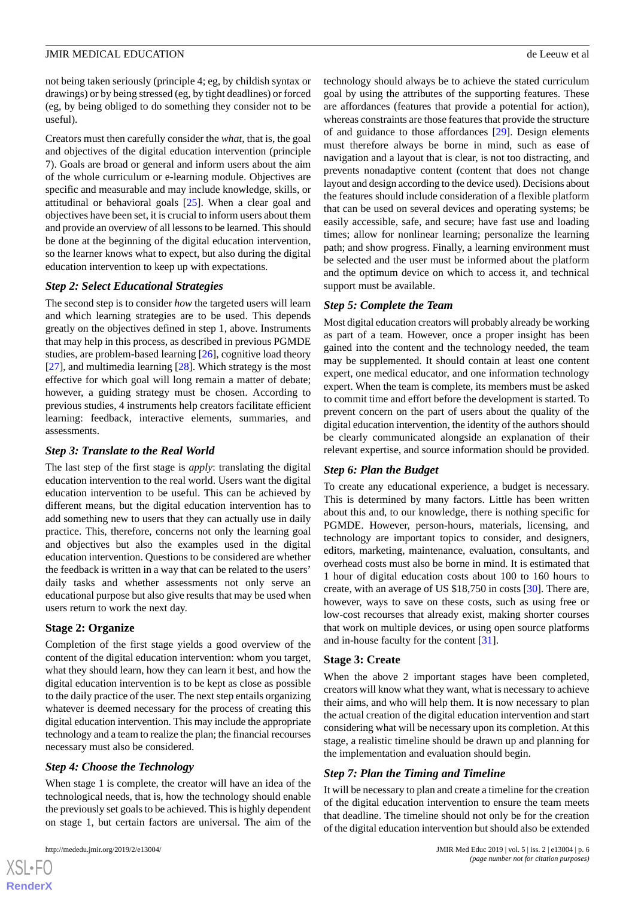not being taken seriously (principle 4; eg, by childish syntax or drawings) or by being stressed (eg, by tight deadlines) or forced (eg, by being obliged to do something they consider not to be useful).

Creators must then carefully consider the *what*, that is, the goal and objectives of the digital education intervention (principle 7). Goals are broad or general and inform users about the aim of the whole curriculum or e-learning module. Objectives are specific and measurable and may include knowledge, skills, or attitudinal or behavioral goals [[25\]](#page-9-7). When a clear goal and objectives have been set, it is crucial to inform users about them and provide an overview of all lessons to be learned. This should be done at the beginning of the digital education intervention, so the learner knows what to expect, but also during the digital education intervention to keep up with expectations.

## *Step 2: Select Educational Strategies*

The second step is to consider *how* the targeted users will learn and which learning strategies are to be used. This depends greatly on the objectives defined in step 1, above. Instruments that may help in this process, as described in previous PGMDE studies, are problem-based learning [[26\]](#page-9-8), cognitive load theory [[27\]](#page-9-9), and multimedia learning [\[28](#page-9-10)]. Which strategy is the most effective for which goal will long remain a matter of debate; however, a guiding strategy must be chosen. According to previous studies, 4 instruments help creators facilitate efficient learning: feedback, interactive elements, summaries, and assessments.

## *Step 3: Translate to the Real World*

The last step of the first stage is *apply*: translating the digital education intervention to the real world. Users want the digital education intervention to be useful. This can be achieved by different means, but the digital education intervention has to add something new to users that they can actually use in daily practice. This, therefore, concerns not only the learning goal and objectives but also the examples used in the digital education intervention. Questions to be considered are whether the feedback is written in a way that can be related to the users' daily tasks and whether assessments not only serve an educational purpose but also give results that may be used when users return to work the next day.

## **Stage 2: Organize**

Completion of the first stage yields a good overview of the content of the digital education intervention: whom you target, what they should learn, how they can learn it best, and how the digital education intervention is to be kept as close as possible to the daily practice of the user. The next step entails organizing whatever is deemed necessary for the process of creating this digital education intervention. This may include the appropriate technology and a team to realize the plan; the financial recourses necessary must also be considered.

## *Step 4: Choose the Technology*

When stage 1 is complete, the creator will have an idea of the technological needs, that is, how the technology should enable the previously set goals to be achieved. This is highly dependent on stage 1, but certain factors are universal. The aim of the

 $XS$  $\cdot$ FC **[RenderX](http://www.renderx.com/)** technology should always be to achieve the stated curriculum goal by using the attributes of the supporting features. These are affordances (features that provide a potential for action), whereas constraints are those features that provide the structure of and guidance to those affordances [\[29](#page-9-11)]. Design elements must therefore always be borne in mind, such as ease of navigation and a layout that is clear, is not too distracting, and prevents nonadaptive content (content that does not change layout and design according to the device used). Decisions about the features should include consideration of a flexible platform that can be used on several devices and operating systems; be easily accessible, safe, and secure; have fast use and loading times; allow for nonlinear learning; personalize the learning path; and show progress. Finally, a learning environment must be selected and the user must be informed about the platform and the optimum device on which to access it, and technical support must be available.

## *Step 5: Complete the Team*

Most digital education creators will probably already be working as part of a team. However, once a proper insight has been gained into the content and the technology needed, the team may be supplemented. It should contain at least one content expert, one medical educator, and one information technology expert. When the team is complete, its members must be asked to commit time and effort before the development is started. To prevent concern on the part of users about the quality of the digital education intervention, the identity of the authors should be clearly communicated alongside an explanation of their relevant expertise, and source information should be provided.

## *Step 6: Plan the Budget*

To create any educational experience, a budget is necessary. This is determined by many factors. Little has been written about this and, to our knowledge, there is nothing specific for PGMDE. However, person-hours, materials, licensing, and technology are important topics to consider, and designers, editors, marketing, maintenance, evaluation, consultants, and overhead costs must also be borne in mind. It is estimated that 1 hour of digital education costs about 100 to 160 hours to create, with an average of US \$18,750 in costs [\[30](#page-9-12)]. There are, however, ways to save on these costs, such as using free or low-cost recourses that already exist, making shorter courses that work on multiple devices, or using open source platforms and in-house faculty for the content [[31\]](#page-9-13).

#### **Stage 3: Create**

When the above 2 important stages have been completed, creators will know what they want, what is necessary to achieve their aims, and who will help them. It is now necessary to plan the actual creation of the digital education intervention and start considering what will be necessary upon its completion. At this stage, a realistic timeline should be drawn up and planning for the implementation and evaluation should begin.

## *Step 7: Plan the Timing and Timeline*

It will be necessary to plan and create a timeline for the creation of the digital education intervention to ensure the team meets that deadline. The timeline should not only be for the creation of the digital education intervention but should also be extended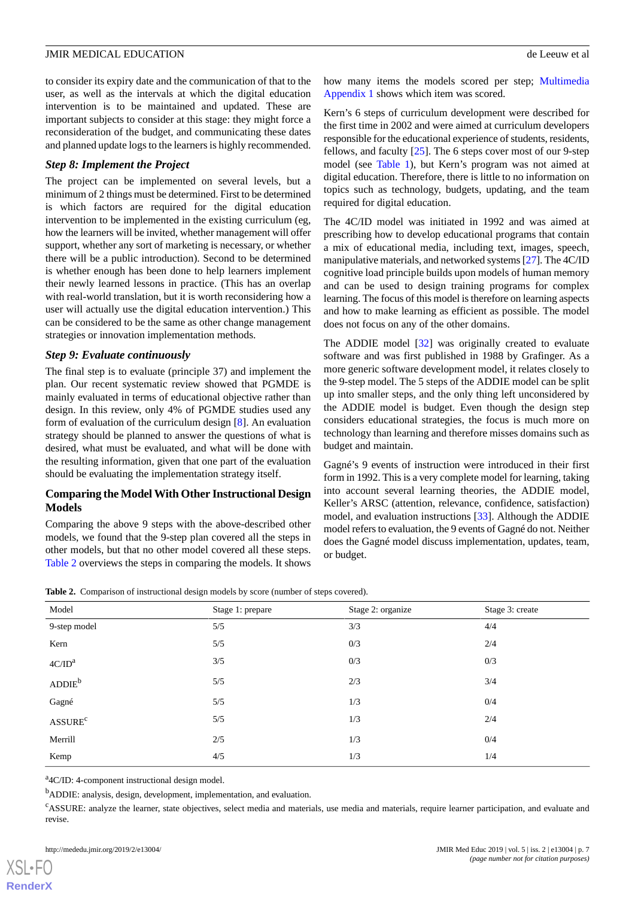to consider its expiry date and the communication of that to the user, as well as the intervals at which the digital education intervention is to be maintained and updated. These are important subjects to consider at this stage: they might force a reconsideration of the budget, and communicating these dates and planned update logs to the learners is highly recommended.

#### *Step 8: Implement the Project*

The project can be implemented on several levels, but a minimum of 2 things must be determined. First to be determined is which factors are required for the digital education intervention to be implemented in the existing curriculum (eg, how the learners will be invited, whether management will offer support, whether any sort of marketing is necessary, or whether there will be a public introduction). Second to be determined is whether enough has been done to help learners implement their newly learned lessons in practice. (This has an overlap with real-world translation, but it is worth reconsidering how a user will actually use the digital education intervention.) This can be considered to be the same as other change management strategies or innovation implementation methods.

#### *Step 9: Evaluate continuously*

The final step is to evaluate (principle 37) and implement the plan. Our recent systematic review showed that PGMDE is mainly evaluated in terms of educational objective rather than design. In this review, only 4% of PGMDE studies used any form of evaluation of the curriculum design [\[8\]](#page-8-7). An evaluation strategy should be planned to answer the questions of what is desired, what must be evaluated, and what will be done with the resulting information, given that one part of the evaluation should be evaluating the implementation strategy itself.

## **Comparing the Model With Other Instructional Design Models**

<span id="page-6-0"></span>Comparing the above 9 steps with the above-described other models, we found that the 9-step plan covered all the steps in other models, but that no other model covered all these steps. [Table 2](#page-6-0) overviews the steps in comparing the models. It shows

how many items the models scored per step; [Multimedia](#page-8-16) [Appendix 1](#page-8-16) shows which item was scored.

Kern's 6 steps of curriculum development were described for the first time in 2002 and were aimed at curriculum developers responsible for the educational experience of students, residents, fellows, and faculty [\[25](#page-9-7)]. The 6 steps cover most of our 9-step model (see [Table 1](#page-3-0)), but Kern's program was not aimed at digital education. Therefore, there is little to no information on topics such as technology, budgets, updating, and the team required for digital education.

The 4C/ID model was initiated in 1992 and was aimed at prescribing how to develop educational programs that contain a mix of educational media, including text, images, speech, manipulative materials, and networked systems [\[27](#page-9-9)]. The 4C/ID cognitive load principle builds upon models of human memory and can be used to design training programs for complex learning. The focus of this model is therefore on learning aspects and how to make learning as efficient as possible. The model does not focus on any of the other domains.

The ADDIE model [\[32](#page-9-14)] was originally created to evaluate software and was first published in 1988 by Grafinger. As a more generic software development model, it relates closely to the 9-step model. The 5 steps of the ADDIE model can be split up into smaller steps, and the only thing left unconsidered by the ADDIE model is budget. Even though the design step considers educational strategies, the focus is much more on technology than learning and therefore misses domains such as budget and maintain.

Gagné's 9 events of instruction were introduced in their first form in 1992. This is a very complete model for learning, taking into account several learning theories, the ADDIE model, Keller's ARSC (attention, relevance, confidence, satisfaction) model, and evaluation instructions [[33\]](#page-9-15). Although the ADDIE model refers to evaluation, the 9 events of Gagné do not. Neither does the Gagné model discuss implementation, updates, team, or budget.

|  |  |  |  |  |  |  | <b>Table 2.</b> Comparison of instructional design models by score (number of steps covered). |  |
|--|--|--|--|--|--|--|-----------------------------------------------------------------------------------------------|--|
|--|--|--|--|--|--|--|-----------------------------------------------------------------------------------------------|--|

| Model                      | Stage 1: prepare | Stage 2: organize | Stage 3: create |
|----------------------------|------------------|-------------------|-----------------|
| 9-step model               | 5/5              | 3/3               | 4/4             |
| Kern                       | 5/5              | 0/3               | 2/4             |
| 4C/ID <sup>a</sup>         | 3/5              | 0/3               | 0/3             |
| $ADDIE^b$                  | 5/5              | 2/3               | 3/4             |
| Gagné                      | 5/5              | 1/3               | 0/4             |
| <b>ASSURE</b> <sup>c</sup> | 5/5              | 1/3               | 2/4             |
| Merrill                    | 2/5              | 1/3               | 0/4             |
| Kemp                       | 4/5              | 1/3               | 1/4             |

<sup>a</sup>4C/ID: 4-component instructional design model.

<sup>b</sup>ADDIE: analysis, design, development, implementation, and evaluation.

<sup>c</sup>ASSURE: analyze the learner, state objectives, select media and materials, use media and materials, require learner participation, and evaluate and revise.

[XSL](http://www.w3.org/Style/XSL)•FO **[RenderX](http://www.renderx.com/)**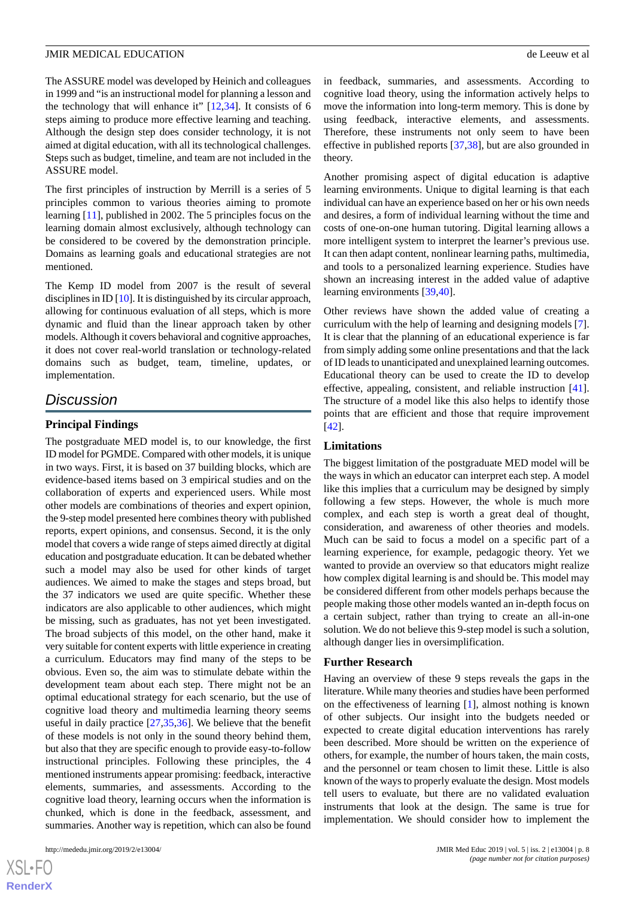The ASSURE model was developed by Heinich and colleagues in 1999 and "is an instructional model for planning a lesson and the technology that will enhance it"  $[12,34]$  $[12,34]$  $[12,34]$  $[12,34]$ . It consists of 6 steps aiming to produce more effective learning and teaching. Although the design step does consider technology, it is not aimed at digital education, with all its technological challenges. Steps such as budget, timeline, and team are not included in the ASSURE model.

The first principles of instruction by Merrill is a series of 5 principles common to various theories aiming to promote learning [\[11](#page-8-10)], published in 2002. The 5 principles focus on the learning domain almost exclusively, although technology can be considered to be covered by the demonstration principle. Domains as learning goals and educational strategies are not mentioned.

The Kemp ID model from 2007 is the result of several disciplines in ID [\[10\]](#page-8-9). It is distinguished by its circular approach, allowing for continuous evaluation of all steps, which is more dynamic and fluid than the linear approach taken by other models. Although it covers behavioral and cognitive approaches, it does not cover real-world translation or technology-related domains such as budget, team, timeline, updates, or implementation.

# *Discussion*

#### **Principal Findings**

The postgraduate MED model is, to our knowledge, the first ID model for PGMDE. Compared with other models, it is unique in two ways. First, it is based on 37 building blocks, which are evidence-based items based on 3 empirical studies and on the collaboration of experts and experienced users. While most other models are combinations of theories and expert opinion, the 9-step model presented here combines theory with published reports, expert opinions, and consensus. Second, it is the only model that covers a wide range of steps aimed directly at digital education and postgraduate education. It can be debated whether such a model may also be used for other kinds of target audiences. We aimed to make the stages and steps broad, but the 37 indicators we used are quite specific. Whether these indicators are also applicable to other audiences, which might be missing, such as graduates, has not yet been investigated. The broad subjects of this model, on the other hand, make it very suitable for content experts with little experience in creating a curriculum. Educators may find many of the steps to be obvious. Even so, the aim was to stimulate debate within the development team about each step. There might not be an optimal educational strategy for each scenario, but the use of cognitive load theory and multimedia learning theory seems useful in daily practice [[27,](#page-9-9)[35](#page-9-17),[36\]](#page-9-18). We believe that the benefit of these models is not only in the sound theory behind them, but also that they are specific enough to provide easy-to-follow instructional principles. Following these principles, the 4 mentioned instruments appear promising: feedback, interactive elements, summaries, and assessments. According to the cognitive load theory, learning occurs when the information is chunked, which is done in the feedback, assessment, and summaries. Another way is repetition, which can also be found

 $XS$  $\cdot$ FC **[RenderX](http://www.renderx.com/)** in feedback, summaries, and assessments. According to cognitive load theory, using the information actively helps to move the information into long-term memory. This is done by using feedback, interactive elements, and assessments. Therefore, these instruments not only seem to have been effective in published reports [[37,](#page-9-19)[38](#page-9-20)], but are also grounded in theory.

Another promising aspect of digital education is adaptive learning environments. Unique to digital learning is that each individual can have an experience based on her or his own needs and desires, a form of individual learning without the time and costs of one-on-one human tutoring. Digital learning allows a more intelligent system to interpret the learner's previous use. It can then adapt content, nonlinear learning paths, multimedia, and tools to a personalized learning experience. Studies have shown an increasing interest in the added value of adaptive learning environments [[39](#page-9-21)[,40](#page-9-22)].

Other reviews have shown the added value of creating a curriculum with the help of learning and designing models [[7\]](#page-8-6). It is clear that the planning of an educational experience is far from simply adding some online presentations and that the lack of ID leads to unanticipated and unexplained learning outcomes. Educational theory can be used to create the ID to develop effective, appealing, consistent, and reliable instruction [[41\]](#page-9-23). The structure of a model like this also helps to identify those points that are efficient and those that require improvement [[42\]](#page-9-24).

#### **Limitations**

The biggest limitation of the postgraduate MED model will be the ways in which an educator can interpret each step. A model like this implies that a curriculum may be designed by simply following a few steps. However, the whole is much more complex, and each step is worth a great deal of thought, consideration, and awareness of other theories and models. Much can be said to focus a model on a specific part of a learning experience, for example, pedagogic theory. Yet we wanted to provide an overview so that educators might realize how complex digital learning is and should be. This model may be considered different from other models perhaps because the people making those other models wanted an in-depth focus on a certain subject, rather than trying to create an all-in-one solution. We do not believe this 9-step model is such a solution, although danger lies in oversimplification.

#### **Further Research**

Having an overview of these 9 steps reveals the gaps in the literature. While many theories and studies have been performed on the effectiveness of learning [\[1](#page-8-0)], almost nothing is known of other subjects. Our insight into the budgets needed or expected to create digital education interventions has rarely been described. More should be written on the experience of others, for example, the number of hours taken, the main costs, and the personnel or team chosen to limit these. Little is also known of the ways to properly evaluate the design. Most models tell users to evaluate, but there are no validated evaluation instruments that look at the design. The same is true for implementation. We should consider how to implement the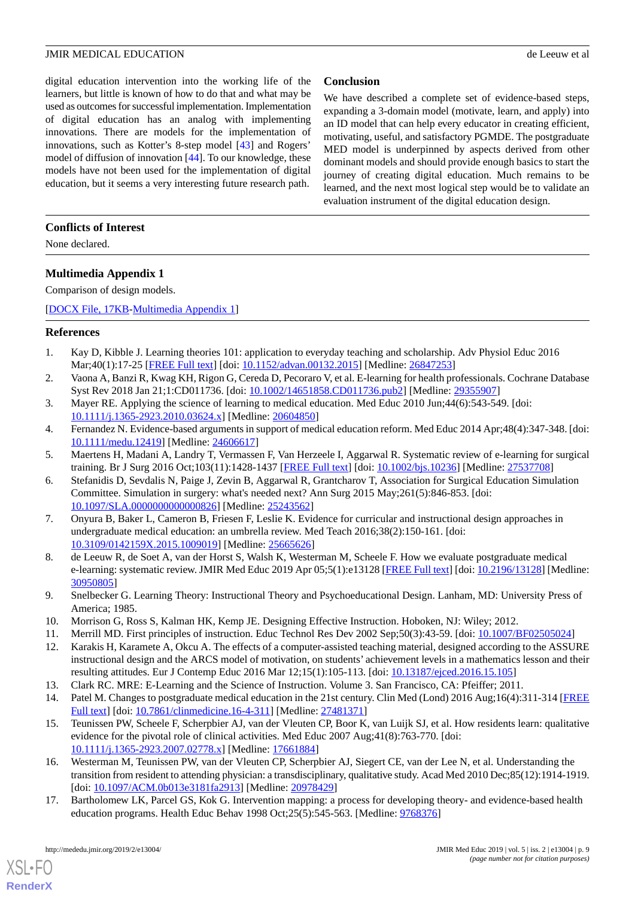digital education intervention into the working life of the learners, but little is known of how to do that and what may be used as outcomes for successful implementation. Implementation of digital education has an analog with implementing innovations. There are models for the implementation of innovations, such as Kotter's 8-step model [[43\]](#page-9-25) and Rogers' model of diffusion of innovation [[44\]](#page-9-26). To our knowledge, these models have not been used for the implementation of digital education, but it seems a very interesting future research path.

## **Conclusion**

We have described a complete set of evidence-based steps, expanding a 3-domain model (motivate, learn, and apply) into an ID model that can help every educator in creating efficient, motivating, useful, and satisfactory PGMDE. The postgraduate MED model is underpinned by aspects derived from other dominant models and should provide enough basics to start the journey of creating digital education. Much remains to be learned, and the next most logical step would be to validate an evaluation instrument of the digital education design.

## **Conflicts of Interest**

<span id="page-8-16"></span>None declared.

## **Multimedia Appendix 1**

Comparison of design models.

<span id="page-8-0"></span>[[DOCX File, 17KB-Multimedia Appendix 1\]](https://jmir.org/api/download?alt_name=mededu_v5i2e13004_app1.docx&filename=8c7f03ad96cabe9050dd731f87ac24d8.docx)

#### <span id="page-8-1"></span>**References**

- <span id="page-8-2"></span>1. Kay D, Kibble J. Learning theories 101: application to everyday teaching and scholarship. Adv Physiol Educ 2016 Mar;40(1):17-25 [[FREE Full text\]](http://www.physiology.org/doi/full/10.1152/advan.00132.2015?url_ver=Z39.88-2003&rfr_id=ori:rid:crossref.org&rfr_dat=cr_pub%3dpubmed) [doi: [10.1152/advan.00132.2015](http://dx.doi.org/10.1152/advan.00132.2015)] [Medline: [26847253\]](http://www.ncbi.nlm.nih.gov/entrez/query.fcgi?cmd=Retrieve&db=PubMed&list_uids=26847253&dopt=Abstract)
- <span id="page-8-3"></span>2. Vaona A, Banzi R, Kwag KH, Rigon G, Cereda D, Pecoraro V, et al. E-learning for health professionals. Cochrane Database Syst Rev 2018 Jan 21;1:CD011736. [doi: [10.1002/14651858.CD011736.pub2\]](http://dx.doi.org/10.1002/14651858.CD011736.pub2) [Medline: [29355907\]](http://www.ncbi.nlm.nih.gov/entrez/query.fcgi?cmd=Retrieve&db=PubMed&list_uids=29355907&dopt=Abstract)
- <span id="page-8-4"></span>3. Mayer RE. Applying the science of learning to medical education. Med Educ 2010 Jun;44(6):543-549. [doi: [10.1111/j.1365-2923.2010.03624.x\]](http://dx.doi.org/10.1111/j.1365-2923.2010.03624.x) [Medline: [20604850\]](http://www.ncbi.nlm.nih.gov/entrez/query.fcgi?cmd=Retrieve&db=PubMed&list_uids=20604850&dopt=Abstract)
- <span id="page-8-5"></span>4. Fernandez N. Evidence-based arguments in support of medical education reform. Med Educ 2014 Apr;48(4):347-348. [doi: [10.1111/medu.12419\]](http://dx.doi.org/10.1111/medu.12419) [Medline: [24606617](http://www.ncbi.nlm.nih.gov/entrez/query.fcgi?cmd=Retrieve&db=PubMed&list_uids=24606617&dopt=Abstract)]
- <span id="page-8-6"></span>5. Maertens H, Madani A, Landry T, Vermassen F, Van Herzeele I, Aggarwal R. Systematic review of e-learning for surgical training. Br J Surg 2016 Oct;103(11):1428-1437 [\[FREE Full text](https://doi.org/10.1002/bjs.10236)] [doi: [10.1002/bjs.10236](http://dx.doi.org/10.1002/bjs.10236)] [Medline: [27537708\]](http://www.ncbi.nlm.nih.gov/entrez/query.fcgi?cmd=Retrieve&db=PubMed&list_uids=27537708&dopt=Abstract)
- 6. Stefanidis D, Sevdalis N, Paige J, Zevin B, Aggarwal R, Grantcharov T, Association for Surgical Education Simulation Committee. Simulation in surgery: what's needed next? Ann Surg 2015 May;261(5):846-853. [doi: [10.1097/SLA.0000000000000826](http://dx.doi.org/10.1097/SLA.0000000000000826)] [Medline: [25243562\]](http://www.ncbi.nlm.nih.gov/entrez/query.fcgi?cmd=Retrieve&db=PubMed&list_uids=25243562&dopt=Abstract)
- <span id="page-8-8"></span><span id="page-8-7"></span>7. Onyura B, Baker L, Cameron B, Friesen F, Leslie K. Evidence for curricular and instructional design approaches in undergraduate medical education: an umbrella review. Med Teach 2016;38(2):150-161. [doi: [10.3109/0142159X.2015.1009019](http://dx.doi.org/10.3109/0142159X.2015.1009019)] [Medline: [25665626\]](http://www.ncbi.nlm.nih.gov/entrez/query.fcgi?cmd=Retrieve&db=PubMed&list_uids=25665626&dopt=Abstract)
- <span id="page-8-10"></span><span id="page-8-9"></span>8. de Leeuw R, de Soet A, van der Horst S, Walsh K, Westerman M, Scheele F. How we evaluate postgraduate medical e-learning: systematic review. JMIR Med Educ 2019 Apr 05;5(1):e13128 [[FREE Full text](http://mededu.jmir.org/2019/1/e13128/)] [doi: [10.2196/13128\]](http://dx.doi.org/10.2196/13128) [Medline: [30950805](http://www.ncbi.nlm.nih.gov/entrez/query.fcgi?cmd=Retrieve&db=PubMed&list_uids=30950805&dopt=Abstract)]
- <span id="page-8-11"></span>9. Snelbecker G. Learning Theory: Instructional Theory and Psychoeducational Design. Lanham, MD: University Press of America; 1985.
- <span id="page-8-12"></span>10. Morrison G, Ross S, Kalman HK, Kemp JE. Designing Effective Instruction. Hoboken, NJ: Wiley; 2012.
- <span id="page-8-13"></span>11. Merrill MD. First principles of instruction. Educ Technol Res Dev 2002 Sep;50(3):43-59. [doi: [10.1007/BF02505024\]](http://dx.doi.org/10.1007/BF02505024)
- 12. Karakis H, Karamete A, Okcu A. The effects of a computer-assisted teaching material, designed according to the ASSURE instructional design and the ARCS model of motivation, on students' achievement levels in a mathematics lesson and their resulting attitudes. Eur J Contemp Educ 2016 Mar 12;15(1):105-113. [doi: [10.13187/ejced.2016.15.105\]](http://dx.doi.org/10.13187/ejced.2016.15.105)
- <span id="page-8-14"></span>13. Clark RC. MRE: E-Learning and the Science of Instruction. Volume 3. San Francisco, CA: Pfeiffer; 2011.
- 14. Patel M. Changes to postgraduate medical education in the 21st century. Clin Med (Lond) 2016 Aug;16(4):311-314 [\[FREE](http://europepmc.org/abstract/MED/27481371) [Full text\]](http://europepmc.org/abstract/MED/27481371) [doi: [10.7861/clinmedicine.16-4-311](http://dx.doi.org/10.7861/clinmedicine.16-4-311)] [Medline: [27481371](http://www.ncbi.nlm.nih.gov/entrez/query.fcgi?cmd=Retrieve&db=PubMed&list_uids=27481371&dopt=Abstract)]
- <span id="page-8-15"></span>15. Teunissen PW, Scheele F, Scherpbier AJ, van der Vleuten CP, Boor K, van Luijk SJ, et al. How residents learn: qualitative evidence for the pivotal role of clinical activities. Med Educ 2007 Aug;41(8):763-770. [doi: [10.1111/j.1365-2923.2007.02778.x\]](http://dx.doi.org/10.1111/j.1365-2923.2007.02778.x) [Medline: [17661884\]](http://www.ncbi.nlm.nih.gov/entrez/query.fcgi?cmd=Retrieve&db=PubMed&list_uids=17661884&dopt=Abstract)
- 16. Westerman M, Teunissen PW, van der Vleuten CP, Scherpbier AJ, Siegert CE, van der Lee N, et al. Understanding the transition from resident to attending physician: a transdisciplinary, qualitative study. Acad Med 2010 Dec;85(12):1914-1919. [doi: [10.1097/ACM.0b013e3181fa2913](http://dx.doi.org/10.1097/ACM.0b013e3181fa2913)] [Medline: [20978429\]](http://www.ncbi.nlm.nih.gov/entrez/query.fcgi?cmd=Retrieve&db=PubMed&list_uids=20978429&dopt=Abstract)
- 17. Bartholomew LK, Parcel GS, Kok G. Intervention mapping: a process for developing theory- and evidence-based health education programs. Health Educ Behav 1998 Oct;25(5):545-563. [Medline: [9768376](http://www.ncbi.nlm.nih.gov/entrez/query.fcgi?cmd=Retrieve&db=PubMed&list_uids=9768376&dopt=Abstract)]

[XSL](http://www.w3.org/Style/XSL)•FO **[RenderX](http://www.renderx.com/)**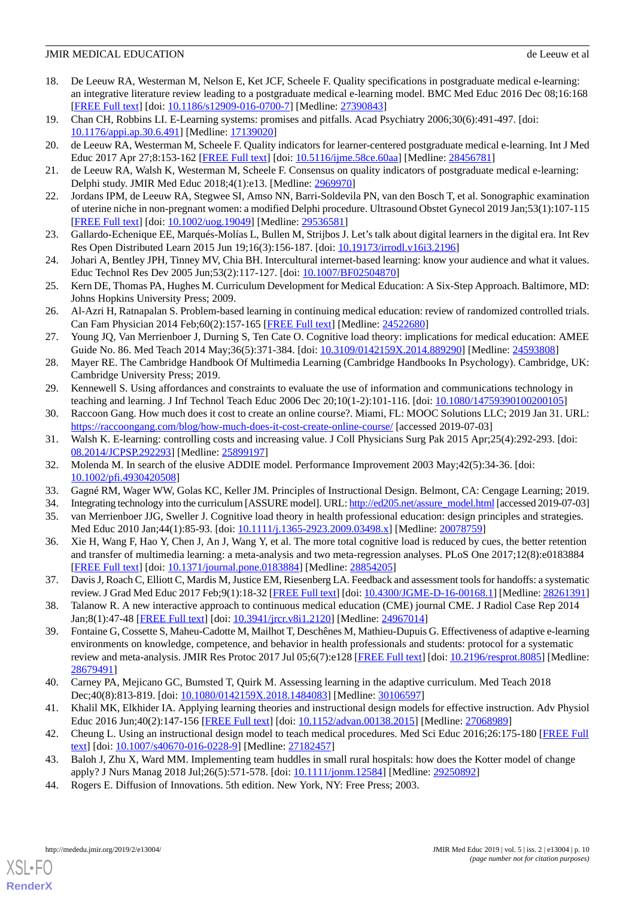- <span id="page-9-0"></span>18. De Leeuw RA, Westerman M, Nelson E, Ket JCF, Scheele F. Quality specifications in postgraduate medical e-learning: an integrative literature review leading to a postgraduate medical e-learning model. BMC Med Educ 2016 Dec 08;16:168 [[FREE Full text](https://bmcmededuc.biomedcentral.com/articles/10.1186/s12909-016-0700-7)] [doi: [10.1186/s12909-016-0700-7\]](http://dx.doi.org/10.1186/s12909-016-0700-7) [Medline: [27390843](http://www.ncbi.nlm.nih.gov/entrez/query.fcgi?cmd=Retrieve&db=PubMed&list_uids=27390843&dopt=Abstract)]
- <span id="page-9-2"></span><span id="page-9-1"></span>19. Chan CH, Robbins LI. E-Learning systems: promises and pitfalls. Acad Psychiatry 2006;30(6):491-497. [doi: [10.1176/appi.ap.30.6.491](http://dx.doi.org/10.1176/appi.ap.30.6.491)] [Medline: [17139020](http://www.ncbi.nlm.nih.gov/entrez/query.fcgi?cmd=Retrieve&db=PubMed&list_uids=17139020&dopt=Abstract)]
- <span id="page-9-3"></span>20. de Leeuw RA, Westerman M, Scheele F. Quality indicators for learner-centered postgraduate medical e-learning. Int J Med Educ 2017 Apr 27;8:153-162 [[FREE Full text](https://www.ijme.net/pmid/28456781)] [doi: [10.5116/ijme.58ce.60aa](http://dx.doi.org/10.5116/ijme.58ce.60aa)] [Medline: [28456781](http://www.ncbi.nlm.nih.gov/entrez/query.fcgi?cmd=Retrieve&db=PubMed&list_uids=28456781&dopt=Abstract)]
- <span id="page-9-4"></span>21. de Leeuw RA, Walsh K, Westerman M, Scheele F. Consensus on quality indicators of postgraduate medical e-learning: Delphi study. JMIR Med Educ 2018;4(1):e13. [Medline: [2969970](http://www.ncbi.nlm.nih.gov/entrez/query.fcgi?cmd=Retrieve&db=PubMed&list_uids=2969970&dopt=Abstract)]
- <span id="page-9-5"></span>22. Jordans IPM, de Leeuw RA, Stegwee SI, Amso NN, Barri-Soldevila PN, van den Bosch T, et al. Sonographic examination of uterine niche in non-pregnant women: a modified Delphi procedure. Ultrasound Obstet Gynecol 2019 Jan;53(1):107-115 [[FREE Full text](https://doi.org/10.1002/uog.19049)] [doi: [10.1002/uog.19049](http://dx.doi.org/10.1002/uog.19049)] [Medline: [29536581](http://www.ncbi.nlm.nih.gov/entrez/query.fcgi?cmd=Retrieve&db=PubMed&list_uids=29536581&dopt=Abstract)]
- <span id="page-9-6"></span>23. Gallardo-Echenique EE, Marqués-Molías L, Bullen M, Strijbos J. Let's talk about digital learners in the digital era. Int Rev Res Open Distributed Learn 2015 Jun 19;16(3):156-187. [doi: [10.19173/irrodl.v16i3.2196](http://dx.doi.org/10.19173/irrodl.v16i3.2196)]
- <span id="page-9-7"></span>24. Johari A, Bentley JPH, Tinney MV, Chia BH. Intercultural internet-based learning: know your audience and what it values. Educ Technol Res Dev 2005 Jun;53(2):117-127. [doi: [10.1007/BF02504870](http://dx.doi.org/10.1007/BF02504870)]
- <span id="page-9-8"></span>25. Kern DE, Thomas PA, Hughes M. Curriculum Development for Medical Education: A Six-Step Approach. Baltimore, MD: Johns Hopkins University Press; 2009.
- <span id="page-9-9"></span>26. Al-Azri H, Ratnapalan S. Problem-based learning in continuing medical education: review of randomized controlled trials. Can Fam Physician 2014 Feb;60(2):157-165 [\[FREE Full text\]](http://www.cfp.ca/cgi/pmidlookup?view=long&pmid=24522680) [Medline: [24522680\]](http://www.ncbi.nlm.nih.gov/entrez/query.fcgi?cmd=Retrieve&db=PubMed&list_uids=24522680&dopt=Abstract)
- <span id="page-9-11"></span><span id="page-9-10"></span>27. Young JQ, Van Merrienboer J, Durning S, Ten Cate O. Cognitive load theory: implications for medical education: AMEE Guide No. 86. Med Teach 2014 May;36(5):371-384. [doi: [10.3109/0142159X.2014.889290](http://dx.doi.org/10.3109/0142159X.2014.889290)] [Medline: [24593808\]](http://www.ncbi.nlm.nih.gov/entrez/query.fcgi?cmd=Retrieve&db=PubMed&list_uids=24593808&dopt=Abstract)
- <span id="page-9-12"></span>28. Mayer RE. The Cambridge Handbook Of Multimedia Learning (Cambridge Handbooks In Psychology). Cambridge, UK: Cambridge University Press; 2019.
- <span id="page-9-13"></span>29. Kennewell S. Using affordances and constraints to evaluate the use of information and communications technology in teaching and learning. J Inf Technol Teach Educ 2006 Dec 20;10(1-2):101-116. [doi: [10.1080/14759390100200105\]](http://dx.doi.org/10.1080/14759390100200105)
- <span id="page-9-14"></span>30. Raccoon Gang. How much does it cost to create an online course?. Miami, FL: MOOC Solutions LLC; 2019 Jan 31. URL: <https://raccoongang.com/blog/how-much-does-it-cost-create-online-course/> [accessed 2019-07-03]
- <span id="page-9-15"></span>31. Walsh K. E-learning: controlling costs and increasing value. J Coll Physicians Surg Pak 2015 Apr;25(4):292-293. [doi: [08.2014/JCPSP.292293](http://dx.doi.org/08.2014/JCPSP.292293)] [Medline: [25899197](http://www.ncbi.nlm.nih.gov/entrez/query.fcgi?cmd=Retrieve&db=PubMed&list_uids=25899197&dopt=Abstract)]
- <span id="page-9-17"></span><span id="page-9-16"></span>32. Molenda M. In search of the elusive ADDIE model. Performance Improvement 2003 May;42(5):34-36. [doi: [10.1002/pfi.4930420508](http://dx.doi.org/10.1002/pfi.4930420508)]
- <span id="page-9-18"></span>33. Gagné RM, Wager WW, Golas KC, Keller JM. Principles of Instructional Design. Belmont, CA: Cengage Learning; 2019.
- 34. Integrating technology into the curriculum [ASSURE model]. URL: [http://ed205.net/assure\\_model.html](http://ed205.net/assure_model.html) [accessed 2019-07-03]
- <span id="page-9-19"></span>35. van Merrienboer JJG, Sweller J. Cognitive load theory in health professional education: design principles and strategies. Med Educ 2010 Jan;44(1):85-93. [doi: [10.1111/j.1365-2923.2009.03498.x\]](http://dx.doi.org/10.1111/j.1365-2923.2009.03498.x) [Medline: [20078759](http://www.ncbi.nlm.nih.gov/entrez/query.fcgi?cmd=Retrieve&db=PubMed&list_uids=20078759&dopt=Abstract)]
- <span id="page-9-20"></span>36. Xie H, Wang F, Hao Y, Chen J, An J, Wang Y, et al. The more total cognitive load is reduced by cues, the better retention and transfer of multimedia learning: a meta-analysis and two meta-regression analyses. PLoS One 2017;12(8):e0183884 [[FREE Full text](http://dx.plos.org/10.1371/journal.pone.0183884)] [doi: [10.1371/journal.pone.0183884](http://dx.doi.org/10.1371/journal.pone.0183884)] [Medline: [28854205](http://www.ncbi.nlm.nih.gov/entrez/query.fcgi?cmd=Retrieve&db=PubMed&list_uids=28854205&dopt=Abstract)]
- <span id="page-9-21"></span>37. Davis J, Roach C, Elliott C, Mardis M, Justice EM, Riesenberg LA. Feedback and assessment tools for handoffs: a systematic review. J Grad Med Educ 2017 Feb;9(1):18-32 [[FREE Full text](http://europepmc.org/abstract/MED/28261391)] [doi: [10.4300/JGME-D-16-00168.1\]](http://dx.doi.org/10.4300/JGME-D-16-00168.1) [Medline: [28261391](http://www.ncbi.nlm.nih.gov/entrez/query.fcgi?cmd=Retrieve&db=PubMed&list_uids=28261391&dopt=Abstract)]
- <span id="page-9-22"></span>38. Talanow R. A new interactive approach to continuous medical education (CME) journal CME. J Radiol Case Rep 2014 Jan;8(1):47-48 [\[FREE Full text\]](http://dx.doi.org/10.3941/jrcr.v8i1.2120) [doi: [10.3941/jrcr.v8i1.2120](http://dx.doi.org/10.3941/jrcr.v8i1.2120)] [Medline: [24967014](http://www.ncbi.nlm.nih.gov/entrez/query.fcgi?cmd=Retrieve&db=PubMed&list_uids=24967014&dopt=Abstract)]
- <span id="page-9-23"></span>39. Fontaine G, Cossette S, Maheu-Cadotte M, Mailhot T, Deschênes M, Mathieu-Dupuis G. Effectiveness of adaptive e-learning environments on knowledge, competence, and behavior in health professionals and students: protocol for a systematic review and meta-analysis. JMIR Res Protoc 2017 Jul 05;6(7):e128 [[FREE Full text\]](http://www.researchprotocols.org/2017/7/e128/) [doi: [10.2196/resprot.8085\]](http://dx.doi.org/10.2196/resprot.8085) [Medline: [28679491](http://www.ncbi.nlm.nih.gov/entrez/query.fcgi?cmd=Retrieve&db=PubMed&list_uids=28679491&dopt=Abstract)]
- <span id="page-9-25"></span><span id="page-9-24"></span>40. Carney PA, Mejicano GC, Bumsted T, Quirk M. Assessing learning in the adaptive curriculum. Med Teach 2018 Dec;40(8):813-819. [doi: [10.1080/0142159X.2018.1484083](http://dx.doi.org/10.1080/0142159X.2018.1484083)] [Medline: [30106597\]](http://www.ncbi.nlm.nih.gov/entrez/query.fcgi?cmd=Retrieve&db=PubMed&list_uids=30106597&dopt=Abstract)
- <span id="page-9-26"></span>41. Khalil MK, Elkhider IA. Applying learning theories and instructional design models for effective instruction. Adv Physiol Educ 2016 Jun;40(2):147-156 [\[FREE Full text\]](http://www.physiology.org/doi/full/10.1152/advan.00138.2015?url_ver=Z39.88-2003&rfr_id=ori:rid:crossref.org&rfr_dat=cr_pub%3dpubmed) [doi: [10.1152/advan.00138.2015\]](http://dx.doi.org/10.1152/advan.00138.2015) [Medline: [27068989\]](http://www.ncbi.nlm.nih.gov/entrez/query.fcgi?cmd=Retrieve&db=PubMed&list_uids=27068989&dopt=Abstract)
- 42. Cheung L. Using an instructional design model to teach medical procedures. Med Sci Educ 2016;26:175-180 [[FREE Full](http://europepmc.org/abstract/MED/27182457) [text](http://europepmc.org/abstract/MED/27182457)] [doi: [10.1007/s40670-016-0228-9\]](http://dx.doi.org/10.1007/s40670-016-0228-9) [Medline: [27182457](http://www.ncbi.nlm.nih.gov/entrez/query.fcgi?cmd=Retrieve&db=PubMed&list_uids=27182457&dopt=Abstract)]
- 43. Baloh J, Zhu X, Ward MM. Implementing team huddles in small rural hospitals: how does the Kotter model of change apply? J Nurs Manag 2018 Jul;26(5):571-578. [doi: [10.1111/jonm.12584\]](http://dx.doi.org/10.1111/jonm.12584) [Medline: [29250892](http://www.ncbi.nlm.nih.gov/entrez/query.fcgi?cmd=Retrieve&db=PubMed&list_uids=29250892&dopt=Abstract)]
- 44. Rogers E. Diffusion of Innovations. 5th edition. New York, NY: Free Press; 2003.

[XSL](http://www.w3.org/Style/XSL)•FO **[RenderX](http://www.renderx.com/)**